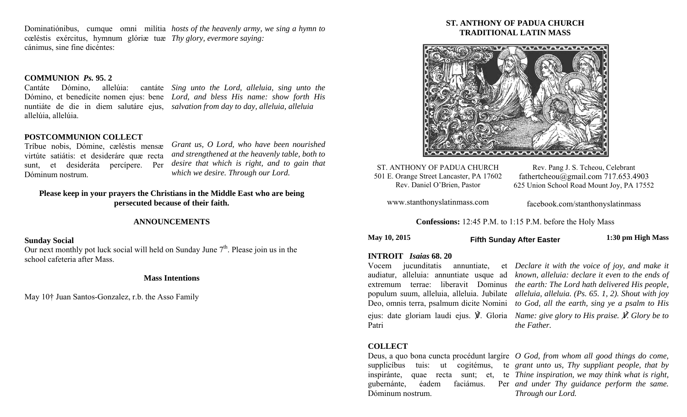Dominatiónibus, cumque omni milítia *hosts of the heavenly army, we sing a hymn to*  cœléstis exércitus, hymnum glóriæ tuæ *Thy glory, evermore saying:*  cánimus, sine fine dicéntes:

# **COMMUNION** *Ps.* **95. 2**

allelúia, allelúia.

Cantáte Dómino, allelúia: cantáte *Sing unto the Lord, alleluia, sing unto the*  Dómino, et benedícite nomen ejus: bene *Lord, and bless His name: show forth His*  nuntiáte de die in diem salutáre ejus, *salvation from day to day, alleluia, alleluia* 

## **POSTCOMMUNION COLLECT**

Tríbue nobis, Dómine, cæléstis mensæ virtúte satiátis: et desideráre quæ recta sunt, et desideráta percípere. Per Dóminum nostrum.

*Grant us, O Lord, who have been nourished and strengthened at the heavenly table, both to desire that which is right, and to gain that which we desire. Through our Lord.* 

# **Please keep in your prayers the Christians in the Middle East who are being persecuted because of their faith.**

# **ANNOUNCEMENTS**

# **Sunday Social**

Our next monthly pot luck social will held on Sunday June  $7<sup>th</sup>$ . Please join us in the school cafeteria after Mass.

### **Mass Intentions**

May 10† Juan Santos-Gonzalez, r.b. the Asso Family

# **ST. ANTHONY OF PADUA CHURCH TRADITIONAL LATIN MASS**



ST. ANTHONY OF PADUA CHURCH 501 E. Orange Street Lancaster, PA 17602 Rev. Daniel O'Brien, Pastor

Rev. Pang J. S. Tcheou, Celebrant fathertcheou@gmail.com 717.653.4903 625 Union School Road Mount Joy, PA 17552

www.stanthonyslatinmass.com

facebook.com/stanthonyslatinmass

**Confessions:** 12:45 P.M. to 1:15 P.M. before the Holy Mass

**May 10, 2015 1:30 pm High Mass Fifth Sunday After Easter** 

#### **INTROIT** *Isaias* **68. 20**

Vocem jucunditatis annuntiate, ejus: date gloriam laudi ejus. ℣. Gloria *Name: give glory to His praise.* ℣*. Glory be to*  Patri

audiatur, alleluia: annuntiate usque ad *known, alleluia: declare it even to the ends of*  extremum terrae: liberavit Dominus *the earth: The Lord hath delivered His people,*  populum suum, alleluia, alleluia. Jubilate *alleluia, alleluia. (Ps. 65. 1, 2). Shout with joy*  Deo, omnis terra, psalmum dicite Nomini *to God, all the earth, sing ye a psalm to His Declare it with the voice of joy, and make it* 

*the Father.* 

## **COLLECT**

Dóminum nostrum.

Deus, a quo bona cuncta procédunt largíre *O God, from whom all good things do come,*  supplicíbus tuis: ut cogitémus, te *grant unto us, Thy suppliant people, that by*  inspiránte, quae recta sunt; et, te *Thine inspiration, we may think what is right,*  gubernánte, éadem faciámus. Per *and under Thy guidance perform the same. Through our Lord.*